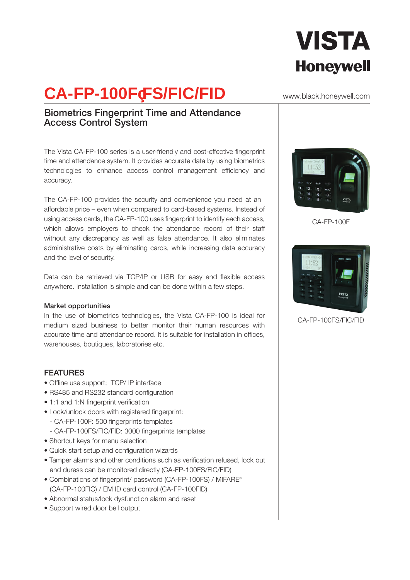# **VISTA Honeywell**

## **CA-FP-100FFS/FIC/FID**

### Biometrics Fingerprint Time and Attendance Access Control System

The Vista CA-FP-100 series is a user-friendly and cost-effective fingerprint time and attendance system. It provides accurate data by using biometrics technologies to enhance access control management efficiency and accuracy.

The CA-FP-100 provides the security and convenience you need at an affordable price – even when compared to card-based systems. Instead of using access cards, the CA-FP-100 uses fingerprint to identify each access, which allows employers to check the attendance record of their staff without any discrepancy as well as false attendance. It also eliminates administrative costs by eliminating cards, while increasing data accuracy and the level of security.

Data can be retrieved via TCP/IP or USB for easy and flexible access anywhere. Installation is simple and can be done within a few steps.

#### Market opportunities

In the use of biometrics technologies, the Vista CA-FP-100 is ideal for medium sized business to better monitor their human resources with accurate time and attendance record. It is suitable for installation in offices, warehouses, boutiques, laboratories etc.

#### FEATURES

- Offline use support; TCP/ IP interface
- RS485 and RS232 standard configuration
- 1:1 and 1:N fingerprint verification
- Lock/unlock doors with registered fingerprint:
	- CA-FP-100F: 500 fingerprints templates
	- CA-FP-100FS/FIC/FID: 3000 fingerprints templates
- Shortcut keys for menu selection
- Quick start setup and configuration wizards
- Tamper alarms and other conditions such as verification refused, lock out and duress can be monitored directly (CA-FP-100FS/FIC/FID)
- Combinations of fingerprint/ password (CA-FP-100FS) / MIFARE® (CA-FP-100FIC) / EM ID card control (CA-FP-100FID)
- Abnormal status/lock dysfunction alarm and reset
- Support wired door bell output

#### www.black.honeywell.com



CA-FP-100F



CA-FP-100FS/FIC/FID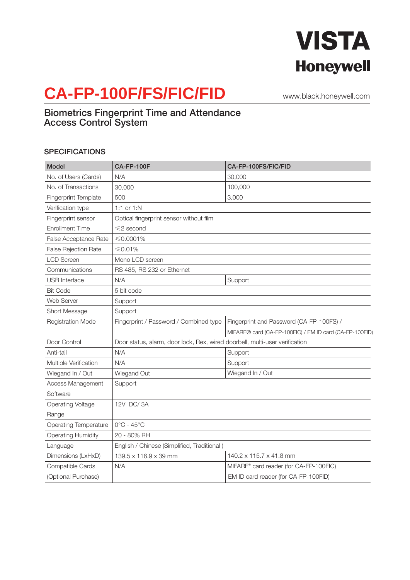

## **CA-FP-100F/FS/FIC/FID**

www.black.honeywell.com

### Biometrics Fingerprint Time and Attendance Access Control System

#### **SPECIFICATIONS**

| <b>Model</b>                 | <b>CA-FP-100F</b>                                                           | CA-FP-100FS/FIC/FID                                     |
|------------------------------|-----------------------------------------------------------------------------|---------------------------------------------------------|
| No. of Users (Cards)         | N/A                                                                         | 30,000                                                  |
| No. of Transactions          | 30,000                                                                      | 100,000                                                 |
| Fingerprint Template         | 500                                                                         | 3,000                                                   |
| Verification type            | 1:1 or 1:N                                                                  |                                                         |
| Fingerprint sensor           | Optical fingerprint sensor without film                                     |                                                         |
| <b>Enrollment Time</b>       | $\leq$ 2 second                                                             |                                                         |
| False Acceptance Rate        | $≤$ 0.0001%                                                                 |                                                         |
| False Rejection Rate         | ≤ 0.01%                                                                     |                                                         |
| <b>LCD Screen</b>            | Mono LCD screen                                                             |                                                         |
| Communications               | RS 485, RS 232 or Ethernet                                                  |                                                         |
| <b>USB</b> Interface         | N/A                                                                         | Support                                                 |
| <b>Bit Code</b>              | 5 bit code                                                                  |                                                         |
| Web Server                   | Support                                                                     |                                                         |
| Short Message                | Support                                                                     |                                                         |
| <b>Registration Mode</b>     | Fingerprint / Password / Combined type                                      | Fingerprint and Password (CA-FP-100FS) /                |
|                              |                                                                             | MIFARE® card (CA-FP-100FIC) / EM ID card (CA-FP-100FID) |
| Door Control                 | Door status, alarm, door lock, Rex, wired doorbell, multi-user verification |                                                         |
| Anti-tail                    | N/A                                                                         | Support                                                 |
| Multiple Verification        | N/A                                                                         | Support                                                 |
| Wiegand In / Out             | Wiegand Out                                                                 | Wiegand In / Out                                        |
| Access Management            | Support                                                                     |                                                         |
| Software                     |                                                                             |                                                         |
| <b>Operating Voltage</b>     | 12V DC/3A                                                                   |                                                         |
| Range                        |                                                                             |                                                         |
| <b>Operating Temperature</b> | $0^{\circ}$ C - 45 $^{\circ}$ C                                             |                                                         |
| <b>Operating Humidity</b>    | 20 - 80% RH                                                                 |                                                         |
| Language                     | English / Chinese (Simplified, Traditional)                                 |                                                         |
| Dimensions (LxHxD)           | 139.5 x 116.9 x 39 mm                                                       | 140.2 x 115.7 x 41.8 mm                                 |
| Compatible Cards             | N/A                                                                         | MIFARE® card reader (for CA-FP-100FIC)                  |
| (Optional Purchase)          |                                                                             | EM ID card reader (for CA-FP-100FID)                    |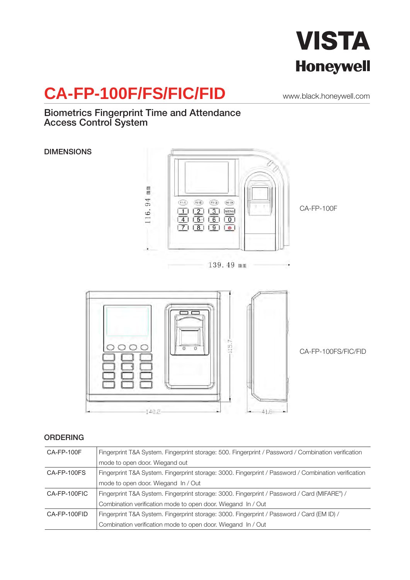

## **CA-FP-100F/FS/FIC/FID**

www.black.honeywell.com

### Biometrics Fingerprint Time and Attendance Access Control System



### ORDERING

| CA-FP-100F   | Fingerprint T&A System. Fingerprint storage: 500. Fingerprint / Password / Combination verification       |  |
|--------------|-----------------------------------------------------------------------------------------------------------|--|
|              | mode to open door. Wiegand out                                                                            |  |
| CA-FP-100FS  | Fingerprint T&A System. Fingerprint storage: 3000. Fingerprint / Password / Combination verification      |  |
|              | mode to open door. Wiegand In / Out                                                                       |  |
| CA-FP-100FIC | Fingerprint T&A System. Fingerprint storage: 3000. Fingerprint / Password / Card (MIFARE <sup>®</sup> ) / |  |
|              | Combination verification mode to open door. Wiegand In / Out                                              |  |
| CA-FP-100FID | Fingerprint T&A System. Fingerprint storage: 3000. Fingerprint / Password / Card (EM ID) /                |  |
|              | Combination verification mode to open door. Wiegand In / Out                                              |  |